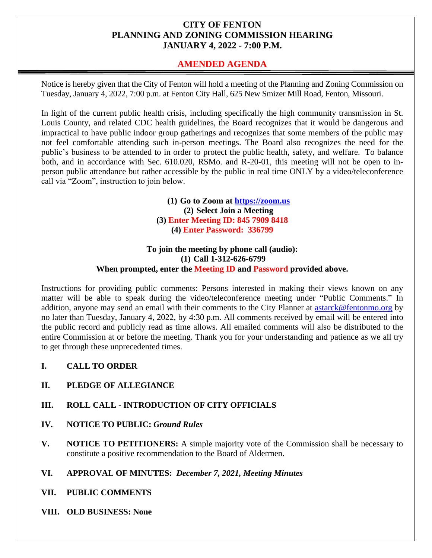# **CITY OF FENTON PLANNING AND ZONING COMMISSION HEARING JANUARY 4, 2022 - 7:00 P.M.**

# **AMENDED AGENDA**

Notice is hereby given that the City of Fenton will hold a meeting of the Planning and Zoning Commission on Tuesday, January 4, 2022, 7:00 p.m. at Fenton City Hall, 625 New Smizer Mill Road, Fenton, Missouri.

In light of the current public health crisis, including specifically the high community transmission in St. Louis County, and related CDC health guidelines, the Board recognizes that it would be dangerous and impractical to have public indoor group gatherings and recognizes that some members of the public may not feel comfortable attending such in-person meetings. The Board also recognizes the need for the public's business to be attended to in order to protect the public health, safety, and welfare. To balance both, and in accordance with Sec. 610.020, RSMo. and R-20-01, this meeting will not be open to inperson public attendance but rather accessible by the public in real time ONLY by a video/teleconference call via "Zoom", instruction to join below.

> **(1) Go to Zoom at [https://zoom.us](https://zoom.us/) (2) Select Join a Meeting (3) Enter Meeting ID: 845 7909 8418 (4) Enter Password: 336799**

#### **To join the meeting by phone call (audio): (1) Call 1-312-626-6799 When prompted, enter the Meeting ID and Password provided above.**

Instructions for providing public comments: Persons interested in making their views known on any matter will be able to speak during the video/teleconference meeting under "Public Comments." In addition, anyone may send an email with their comments to the City Planner at [astarck@fentonmo.org](mailto:astarck@fentonmo.org) by no later than Tuesday, January 4, 2022, by 4:30 p.m. All comments received by email will be entered into the public record and publicly read as time allows. All emailed comments will also be distributed to the entire Commission at or before the meeting. Thank you for your understanding and patience as we all try to get through these unprecedented times.

- **I. CALL TO ORDER**
- **II. PLEDGE OF ALLEGIANCE**

# **III. ROLL CALL - INTRODUCTION OF CITY OFFICIALS**

- **IV. NOTICE TO PUBLIC:** *Ground Rules*
- **V. NOTICE TO PETITIONERS:** A simple majority vote of the Commission shall be necessary to constitute a positive recommendation to the Board of Aldermen.
- **VI. APPROVAL OF MINUTES:** *December 7, 2021, Meeting Minutes*
- **VII. PUBLIC COMMENTS**
- **VIII. OLD BUSINESS: None**